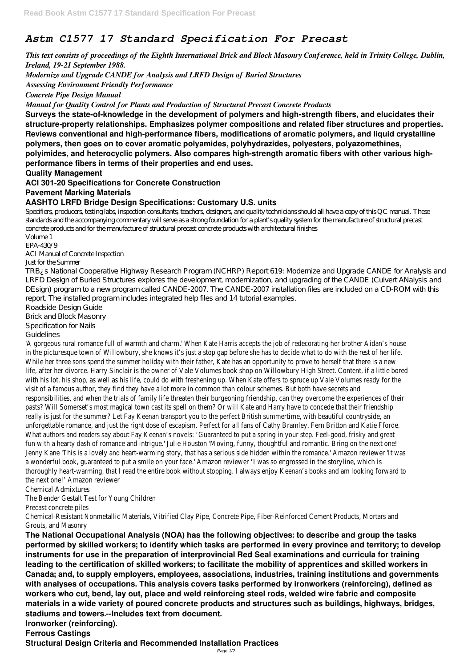# *Astm C1577 17 Standard Specification For Precast*

*This text consists of proceedings of the Eighth International Brick and Block Masonry Conference, held in Trinity College, Dublin, Ireland, 19-21 September 1988.*

*Modernize and Upgrade CANDE for Analysis and LRFD Design of Buried Structures*

*Assessing Environment Friendly Performance*

*Concrete Pipe Design Manual*

*Manual for Quality Control for Plants and Production of Structural Precast Concrete Products*

**Surveys the state-of-knowledge in the development of polymers and high-strength fibers, and elucidates their structure-property relationships. Emphasizes polymer compositions and related fiber structures and properties. Reviews conventional and high-performance fibers, modifications of aromatic polymers, and liquid crystalline polymers, then goes on to cover aromatic polyamides, polyhydrazides, polyesters, polyazomethines, polyimides, and heterocyclic polymers. Also compares high-strength aromatic fibers with other various highperformance fibers in terms of their properties and end uses.**

**Quality Management**

**ACI 301-20 Specifications for Concrete Construction**

**Pavement Marking Materials**

**AASHTO LRFD Bridge Design Specifications: Customary U.S. units**

Specifiers, producers, testing labs, inspection consultants, teachers, designers, and quality technicians should all have a copy of this QC manual. These standards and the accompanying commentary will serve as a strong foundation for a plant's quality system for the manufacture of structural precast concrete products and for the manufacture of structural precast concrete products with architectural finishes

Volume 1 EPA-430/9

ACI Manual of Concrete Inspection

### Just for the Summer

TRB¿s National Cooperative Highway Research Program (NCHRP) Report 619: Modernize and Upgrade CANDE for Analysis and LRFD Design of Buried Structures explores the development, modernization, and upgrading of the CANDE (Culvert ANalysis and DEsign) program to a new program called CANDE-2007. The CANDE-2007 installation files are included on a CD-ROM with this report. The installed program includes integrated help files and 14 tutorial examples.

'A gorgeous rural romance full of warmth and charm.' When Kate Harris accepts the job of redecorating her brother Aidan's hou in the picturesque town of Willowbury, she knows it's just a stop gap before she has to decide what to do with the rest of he While her three sons spend the summer holiday with their father, Kate has an opportunity to prove to herself that there is a new life, after her divorce. Harry Sinclair is the owner of Vale Volumes book shop on Willowbury High Street. Content, if a little bored with his lot, his shop, as well as his life, could do with freshening up. When Kate offers to spruce up Vale Volumes ready for the visit of a famous author, they find they have a lot more in common than colour schemes. But both have secrets and responsibilities, and when the trials of family life threaten their burgeoning friendship, can they overcome the experiences of th pasts? Will Somerset's most magical town cast its spell on them? Or will Kate and Harry have to concede that their friendship really is just for the summer? Let Fay Keenan transport you to the perfect British summertime, with beautiful countryside, an unforgettable romance, and just the right dose of escapism. Perfect for all fans of Cathy Bramley, Fern Britton and Katie Fforde. What authors and readers say about Fay Keenan's novels: 'Guaranteed to put a spring in your step. Feel-good, frisky and great fun with a hearty dash of romance and intrigue.' Julie Houston 'Moving, funny, thoughtful and romantic. Bring on the next one!' Jenny Kane 'This is a lovely and heart-warming story, that has a serious side hidden within the romance.' Amazon reviewer 'It w a wonderful book, guaranteed to put a smile on your face.' Amazon reviewer 'I was so engrossed in the storyline, which is thoroughly heart-warming, that I read the entire book without stopping. I always enjoy Keenan's books and am looking forward the next one!' Amazon reviewer

Roadside Design Guide

Brick and Block Masonry

Specification for Nails

Guidelines

Chemical Admixtures

The Bender Gestalt Test for Young Children

Precast concrete piles

Chemical-Resistant Nonmetallic Materials, Vitrified Clay Pipe, Concrete Pipe, Fiber-Reinforced Cement Products, Mortars and Grouts, and Masonry

**The National Occupational Analysis (NOA) has the following objectives: to describe and group the tasks performed by skilled workers; to identify which tasks are performed in every province and territory; to develop instruments for use in the preparation of interprovincial Red Seal examinations and curricula for training leading to the certification of skilled workers; to facilitate the mobility of apprentices and skilled workers in Canada; and, to supply employers, employees, associations, industries, training institutions and governments with analyses of occupations. This analysis covers tasks performed by ironworkers (reinforcing), defined as workers who cut, bend, lay out, place and weld reinforcing steel rods, welded wire fabric and composite materials in a wide variety of poured concrete products and structures such as buildings, highways, bridges, stadiums and towers.--Includes text from document.**

**Ironworker (reinforcing).**

**Ferrous Castings**

**Structural Design Criteria and Recommended Installation Practices**